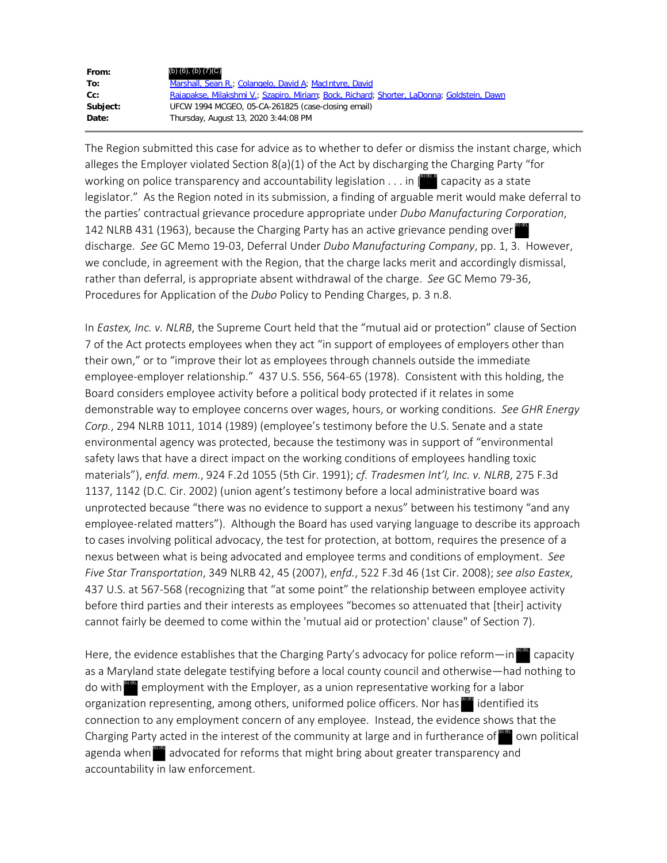| From:    | (b) $(6)$ , $(b)$ $(7)(C)$                                                                 |
|----------|--------------------------------------------------------------------------------------------|
| To:      | Marshall, Sean R.; Colangelo, David A; MacIntyre, David                                    |
| $Cc$ :   | Rajapakse, Milakshmi V.; Szapiro, Miriam; Bock, Richard; Shorter, LaDonna; Goldstein, Dawn |
| Subject: | UFCW 1994 MCGEO, 05-CA-261825 (case-closing email)                                         |
| Date:    | Thursday, August 13, 2020 3:44:08 PM                                                       |

The Region submitted this case for advice as to whether to defer or dismiss the instant charge, which alleges the Employer violated Section 8(a)(1) of the Act by discharging the Charging Party "for working on police transparency and accountability legislation  $\dots$  in  $\parallel^{\text{blue}}$  capacity as a state legislator." As the Region noted in its submission, a finding of arguable merit would make deferral to the parties' contractual grievance procedure appropriate under *Dubo Manufacturing Corporation*, 142 NLRB 431 (1963), because the Charging Party has an active grievance pending over discharge. *See* GC Memo 19-03, Deferral Under *Dubo Manufacturing Company*, pp. 1, 3. However, we conclude, in agreement with the Region, that the charge lacks merit and accordingly dismissal, rather than deferral, is appropriate absent withdrawal of the charge. *See* GC Memo 79-36, Procedures for Application of the *Dubo* Policy to Pending Charges, p. 3 n.8.

In *Eastex, Inc. v. NLRB*, the Supreme Court held that the "mutual aid or protection" clause of Section 7 of the Act protects employees when they act "in support of employees of employers other than their own," or to "improve their lot as employees through channels outside the immediate employee-employer relationship." 437 U.S. 556, 564-65 (1978). Consistent with this holding, the Board considers employee activity before a political body protected if it relates in some demonstrable way to employee concerns over wages, hours, or working conditions. *See GHR Energy Corp.*, 294 NLRB 1011, 1014 (1989) (employee's testimony before the U.S. Senate and a state environmental agency was protected, because the testimony was in support of "environmental safety laws that have a direct impact on the working conditions of employees handling toxic materials"), *enfd. mem.*, 924 F.2d 1055 (5th Cir. 1991); *cf. Tradesmen Int'l, Inc. v. NLRB*, 275 F.3d 1137, 1142 (D.C. Cir. 2002) (union agent's testimony before a local administrative board was unprotected because "there was no evidence to support a nexus" between his testimony "and any employee-related matters"). Although the Board has used varying language to describe its approach to cases involving political advocacy, the test for protection, at bottom, requires the presence of a nexus between what is being advocated and employee terms and conditions of employment. *See Five Star Transportation*, 349 NLRB 42, 45 (2007), *enfd.*, 522 F.3d 46 (1st Cir. 2008); *see also Eastex*, 437 U.S. at 567-568 (recognizing that "at some point" the relationship between employee activity before third parties and their interests as employees "becomes so attenuated that [their] activity cannot fairly be deemed to come within the 'mutual aid or protection' clause" of Section 7). on police transparency and accountability legislation. . . . in  $\mathbb{E}^{\bullet}$  comparison, a finding of arguable merit would make<br>ies' contractual grievance procedure appropriate under *Dubo Manufuctualing Corpus*<br>ies' cont

Here, the evidence establishes that the Charging Party's advocacy for police reform—in <sup>prov</sup> capacity as a Maryland state delegate testifying before a local county council and otherwise—had nothing to do with employment with the Employer, as a union representative working for a labor organization representing, among others, uniformed police officers. Nor has <sup>the i</sup>dentified its connection to any employment concern of any employee. Instead, the evidence shows that the Charging Party acted in the interest of the community at large and in furtherance of **the own political** agenda when  $\frac{dP}{dx}$  advocated for reforms that might bring about greater transparency and accountability in law enforcement.